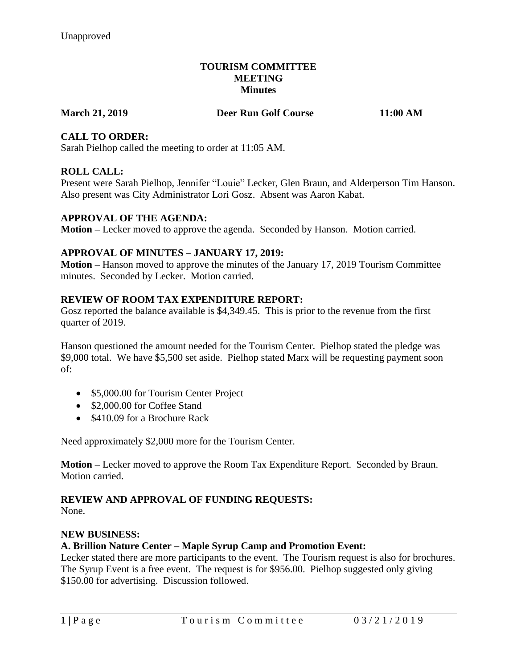### **TOURISM COMMITTEE MEETING Minutes**

#### **March 21, 2019 Deer Run Golf Course 11:00 AM**

## **CALL TO ORDER:**

Sarah Pielhop called the meeting to order at 11:05 AM.

## **ROLL CALL:**

Present were Sarah Pielhop, Jennifer "Louie" Lecker, Glen Braun, and Alderperson Tim Hanson. Also present was City Administrator Lori Gosz. Absent was Aaron Kabat.

## **APPROVAL OF THE AGENDA:**

**Motion –** Lecker moved to approve the agenda. Seconded by Hanson. Motion carried.

## **APPROVAL OF MINUTES – JANUARY 17, 2019:**

**Motion –** Hanson moved to approve the minutes of the January 17, 2019 Tourism Committee minutes. Seconded by Lecker. Motion carried.

## **REVIEW OF ROOM TAX EXPENDITURE REPORT:**

Gosz reported the balance available is \$4,349.45. This is prior to the revenue from the first quarter of 2019.

Hanson questioned the amount needed for the Tourism Center. Pielhop stated the pledge was \$9,000 total. We have \$5,500 set aside. Pielhop stated Marx will be requesting payment soon of:

- \$5,000.00 for Tourism Center Project
- \$2,000.00 for Coffee Stand
- \$410.09 for a Brochure Rack

Need approximately \$2,000 more for the Tourism Center.

**Motion –** Lecker moved to approve the Room Tax Expenditure Report. Seconded by Braun. Motion carried.

# **REVIEW AND APPROVAL OF FUNDING REQUESTS:**

None.

#### **NEW BUSINESS:**

#### **A. Brillion Nature Center – Maple Syrup Camp and Promotion Event:**

Lecker stated there are more participants to the event. The Tourism request is also for brochures. The Syrup Event is a free event. The request is for \$956.00. Pielhop suggested only giving \$150.00 for advertising. Discussion followed.